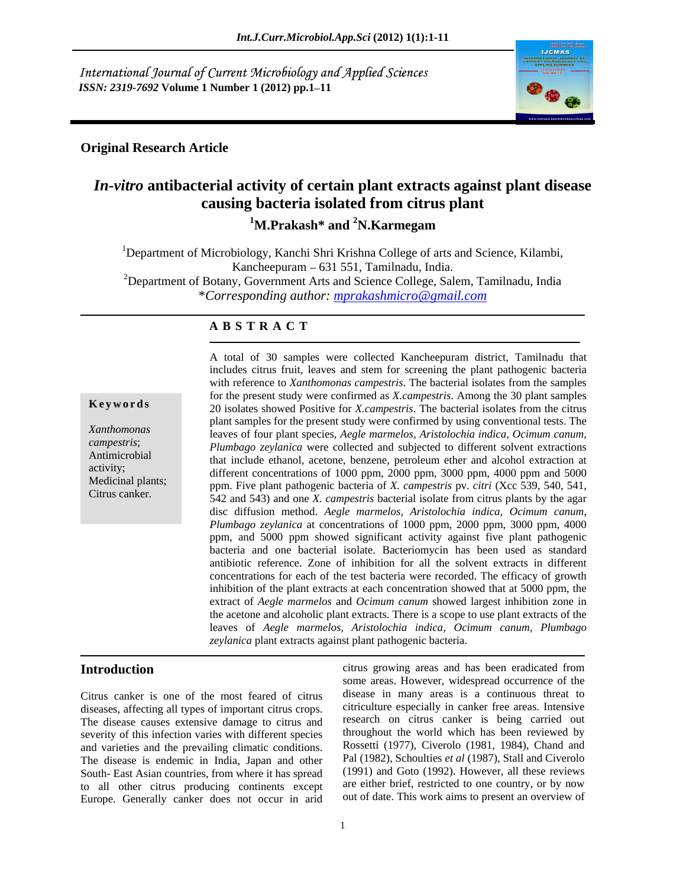International Journal of Current Microbiology and Applied Sciences *ISSN: 2319-7692* **Volume 1 Number 1 (2012) pp.1–11** 



# **Original Research Article**

# *In-vitro* **antibacterial activity of certain plant extracts against plant disease causing bacteria isolated from citrus plant**

**1M.Prakash\* and 2N.Karmegam**

<sup>1</sup>Department of Microbiology, Kanchi Shri Krishna College of arts and Science, Kilambi, Kancheepuram – 631 551, Tamilnadu, India.<br><sup>2</sup>Department of Botany, Government Arts and Science College, Salem, Tamilnadu, India \**Corresponding author: mprakashmicro@gmail.com*

## **A B S T R A C T**

**Keywords** 20 isolates showed Positive for *X.campestris*. The bacterial isolates from the citrus *Xanthomonas*  leaves of four plant species, *Aegle marmelos, Aristolochia indica, Ocimum canum, campestris*; *Plumbago zeylanica* were collected and subjected to different solvent extractions Antimicrobial that include ethanol, acetone, benzene, petroleum ether and alcohol extraction at activity;<br>different concentrations of 1000 ppm, 2000 ppm, 3000 ppm, 4000 ppm and 5000 Medicinal plants; ppm. Five plant pathogenic bacteria of *X. campestris* pv*. citri* (Xcc 539, 540, 541, A total of 30 samples were collected Kancheepuram district, Tamilnadu that<br>
includes citrus fruit, leaves and stem for screening the plant pathogenic bacteria<br>
with reference to *Xanthomonas campestris*. The bacterial isol includes citrus fruit, leaves and stem for screening the plant pathogenic bacteria with reference to *Xanthomonas campestris*. The bacterial isolates from the samples for the present study were confirmed as *X.campestris*. Among the 30 plant samples plant samples for the present study were confirmed by using conventional tests. The 542 and 543) and one *X. campestris* bacterial isolate from citrus plants by the agar disc diffusion method. *Aegle marmelos, Aristolochia indica, Ocimum canum, Plumbago zeylanica* at concentrations of 1000 ppm, 2000 ppm, 3000 ppm, 4000 ppm, and 5000 ppm showed significant activity against five plant pathogenic bacteria and one bacterial isolate. Bacteriomycin has been used as standard antibiotic reference. Zone of inhibition for all the solvent extracts in different concentrations for each of the test bacteria were recorded. The efficacy of growth inhibition of the plant extracts at each concentration showed that at  $5000$  ppm, the extract of *Aegle marmelos* and *Ocimum canum* showed largest inhibition zone in the acetone and alcoholic plant extracts. There is a scope to use plant extracts of the leaves of *Aegle marmelos, Aristolochia indica, Ocimum canum, Plumbago zeylanica* plant extracts against plant pathogenic bacteria.

Citrus canker is one of the most feared of citrus diseases, affecting all types of important citrus crops. The disease causes extensive damage to citrus and severity of this infection varies with different species and varieties and the prevailing climatic conditions. The disease is endemic in India, Japan and other South- East Asian countries, from where it has spread to all other citrus producing continents except Europe. Generally canker does not occur in arid

**Introduction citrus** growing areas and has been eradicated from some areas. However, widespread occurrence of the disease in many areas is a continuous threat to citriculture especially in canker free areas. Intensive research on citrus canker is being carried out throughout the world which has been reviewed by Rossetti (1977), Civerolo (1981, 1984), Chand and Pal (1982), Schoulties *et al* (1987), Stall and Civerolo (1991) and Goto (1992). However, all these reviews are either brief, restricted to one country, or by now out of date. This work aims to present an overview of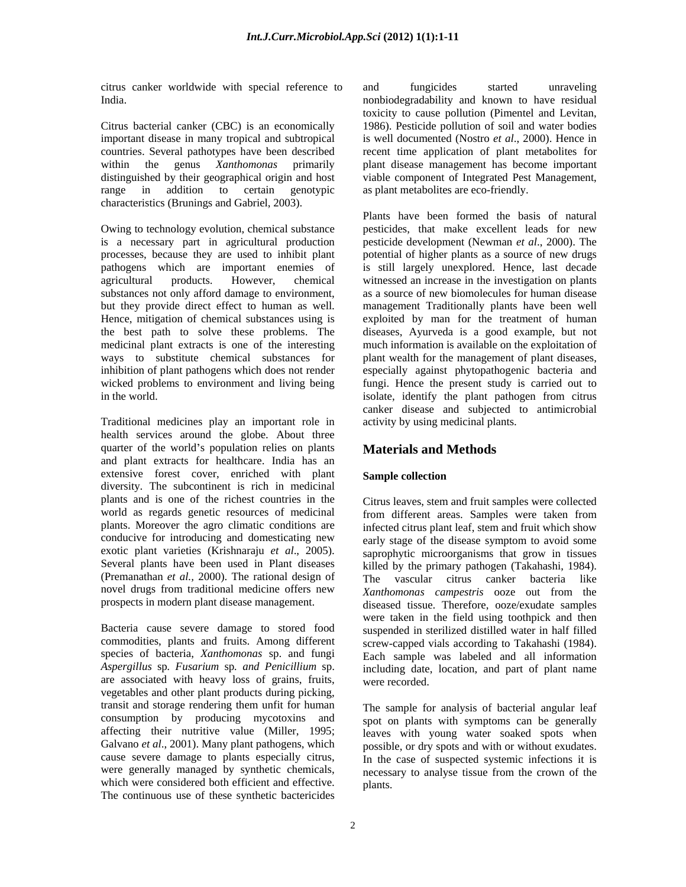citrus canker worldwide with special reference to India. nonbiodegradability and known to have residual

countries. Several pathotypes have been described range in addition to certain genotypic as plant metabolites are eco-friendly. characteristics (Brunings and Gabriel, 2003).

Owing to technology evolution, chemical substance pesticides, that make excellent leads for new is a necessary part in agricultural production pesticide development (Newman *et al*., 2000). The processes, because they are used to inhibit plant potential of higher plants as a source of new drugs pathogens which are important enemies of is still largely unexplored. Hence, last decade agricultural products. However, chemical witnessed an increase in the investigation on plants substances not only afford damage to environment, as a source of new biomolecules for human disease but they provide direct effect to human as well. management Traditionally plants have been well Hence, mitigation of chemical substances using is exploited by man for the treatment of human the best path to solve these problems. The diseases, Ayurveda is a good example, but not medicinal plant extracts is one of the interesting much information is available on the exploitation of ways to substitute chemical substances for plant wealth for the management of plant diseases, inhibition of plant pathogens which does not render especially against phytopathogenic bacteria and wicked problems to environment and living being fungi. Hence the present study is carried out to

Traditional medicines play an important role in health services around the globe. About three quarter of the world's population relies on plants and plant extracts for healthcare. India has an extensive forest cover, enriched with plant diversity. The subcontinent is rich in medicinal plants and is one of the richest countries in the world as regards genetic resources of medicinal<br>plants. Moreover the agro climatic conditions are infected citrus plant leaf stem and fruit which show novel drugs from traditional medicine offers new Xanthomonas campestris ooze out from the

Bacteria cause severe damage to stored food are associated with heavy loss of grains, fruits, were recorded. vegetables and other plant products during picking, transit and storage rendering them unfit for human The sample for analysis of bacterial angular leaf Galvano *et al*., 2001). Many plant pathogens, which were generally managed by synthetic chemicals, which were considered both efficient and effective. The continuous use of these synthetic bactericides

Citrus bacterial canker (CBC) is an economically 1986). Pesticide pollution of soil and water bodies important disease in many tropical and subtropical is well documented (Nostro *et al*., 2000). Hence in within the genus *Xanthomonas* primarily plant disease management has become important distinguished by their geographical origin and host viable component of Integrated Pest Management, and fungicides started unraveling toxicity to cause pollution (Pimentel and Levitan, recent time application of plant metabolites for

in the world. isolate, identify the plant pathogen from citrus Plants have been formed the basis of natural canker disease and subjected to antimicrobial activity by using medicinal plants.

# **Materials and Methods**

## **Sample collection**

plants. Moreover the agro climatic conditions are infected citrus plant leaf, stem and fruit which show conducive for introducing and domesticating new early stage of the disease symptom to avoid some exotic plant varieties (Krishnaraju *et al.*, 2005). saprophytic microorganisms that grow in tissues Several plants have been used in Plant diseases killed by the primary pathogen (Takahashi, 1984). (Premanathan *et al.,* 2000). The rational design of The vascular citrus canker bacteria like prospects in modern plant disease management. diseased tissue. Therefore, ooze/exudate samples commodities, plants and fruits. Among different screw-capped vials according to Takahashi (1984). species of bacteria, *Xanthomonas* sp. and fungi Each sample was labeled and all information *Aspergillus* sp*. Fusarium* sp*. and Penicillium* sp. including date, location, and part of plant name Citrus leaves, stem and fruit samples were collected from different areas. Samples were taken from *Xanthomonas campestris* ooze out from the were taken in the field using toothpick and then suspended in sterilized distilled water in half filled were recorded.

consumption by producing mycotoxins and spot on plants with symptoms can be generally affecting their nutritive value (Miller, 1995; leaves with young water soaked spots when cause severe damage to plants especially citrus, In the case of suspected systemic infections it is possible, or dry spots and with or without exudates. necessary to analyse tissue from the crown of the plants.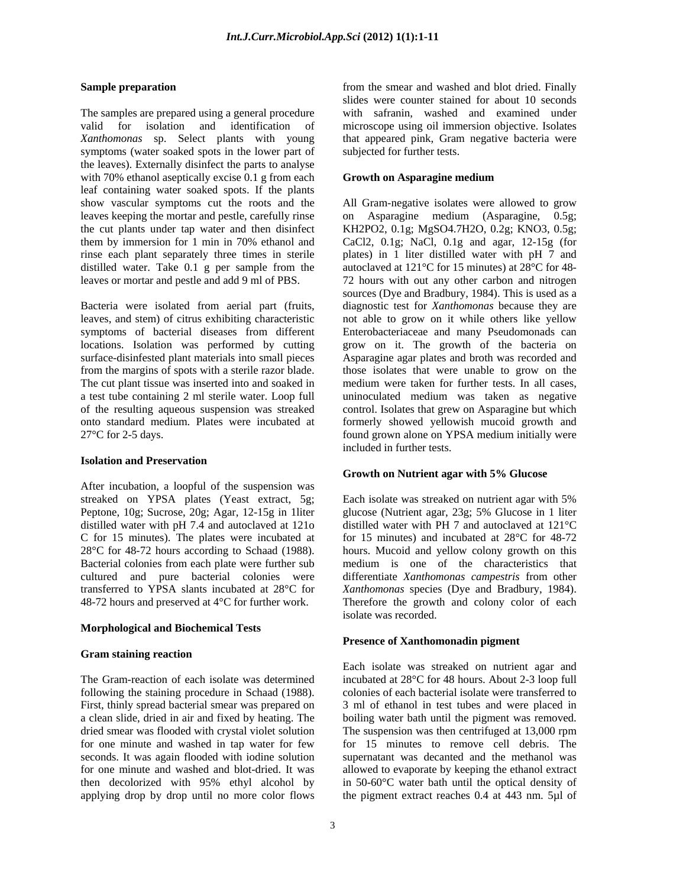The samples are prepared using a general procedure with safranin, washed and examined under valid for isolation and identification of microscope using oil immersion objective. Isolates *Xanthomonas* sp. Select plants with young that appeared pink, Gram negative bacteria were symptoms (water soaked spots in the lower part of the leaves). Externally disinfect the parts to analyse with 70% ethanol aseptically excise 0.1 g from each leaf containing water soaked spots. If the plants leaves keeping the mortar and pestle, carefully rinse on Asparagine medium (Asparagine, 0.5g; distilled water. Take 0.1 g per sample from the

symptoms of bacterial diseases from different locations. Isolation was performed by cutting from the margins of spots with a sterile razor blade. a test tube containing 2 ml sterile water. Loop full of the resulting aqueous suspension was streaked

### **Isolation and Preservation**

After incubation, a loopful of the suspension was streaked on YPSA plates (Yeast extract, 5g; Each isolate was streaked on nutrient agar with 5% cultured and pure bacterial colonies were differentiate Xanthomonas campestris from other

### **Morphological and Biochemical Tests**

### **Gram staining reaction**

following the staining procedure in Schaad (1988). First, thinly spread bacterial smear was prepared on applying drop by drop until no more color flows the pigment extract reaches 0.4 at 443 nm. 5µl of

**Sample preparation Sample preparation Sample preparation state s** and **proparation state s** and **proparation s** and **proparation s** and **proparation s** and **proparation s proparation s proparatio** slides were counter stained for about 10 seconds subjected for further tests.

### **Growth on Asparagine medium**

show vascular symptoms cut the roots and the All Gram-negative isolates were allowed to grow the cut plants under tap water and then disinfect KH2PO2, 0.1g; MgSO4.7H2O, 0.2g; KNO3, 0.5g; them by immersion for 1 min in 70% ethanol and CaCl2, 0.1g; NaCl, 0.1g and agar, 12-15g (for rinse each plant separately three times in sterile plates) in 1 liter distilled water with pH 7 and leaves or mortar and pestle and add 9 ml of PBS. 72 hours with out any other carbon and nitrogen Bacteria were isolated from aerial part (fruits, diagnostic test for *Xanthomonas* because they are leaves, and stem) of citrus exhibiting characteristic not able to grow on it while others like yellow locations. Isolation was performed by cutting grow on it. The growth of the bacteria on surface-disinfested plant materials into small pieces Asparagine agar plates and broth was recorded and The cut plant tissue was inserted into and soaked in medium were taken for further tests. In all cases, onto standard medium. Plates were incubated at formerly showed yellowish mucoid growth and 27°C for 2-5 days. found grown alone on YPSA medium initially were on Asparagine medium (Asparagine, 0.5g; CaCl2, 0.1g; NaCl, 0.1g and agar, 12-15g (for autoclaved at 121°C for 15 minutes) at 28°C for 48 sources (Dye and Bradbury, 1984). This is used as a Enterobacteriaceae and many Pseudomonads can those isolates that were unable to grow on the uninoculated medium was taken as negative control. Isolates that grew on Asparagine but which included in further tests.

### **Growth on Nutrient agar with 5% Glucose**

Peptone, 10g; Sucrose, 20g; Agar, 12-15g in 1liter glucose (Nutrient agar, 23g; 5% Glucose in 1 liter distilled water with pH 7.4 and autoclaved at 121o distilled water with PH 7 and autoclaved at 121°C C for 15 minutes). The plates were incubated at for 15 minutes) and incubated at 28°C for 48-72 28°C for 48-72 hours according to Schaad (1988). hours. Mucoid and yellow colony growth on this Bacterial colonies from each plate were further sub medium is one of the characteristics that transferred to YPSA slants incubated at 28°C for *Xanthomonas* species (Dye and Bradbury, 1984). 48-72 hours and preserved at 4°C for further work. Therefore the growth and colony color of each Each isolate was streaked on nutrient agar with 5% differentiate *Xanthomonas campestris* from other isolate was recorded.

### **Presence of Xanthomonadin pigment**

The Gram-reaction of each isolate was determined incubated at  $28^{\circ}$ C for 48 hours. About 2-3 loop full a clean slide, dried in air and fixed by heating. The boiling water bath until the pigment was removed. dried smear was flooded with crystal violet solution The suspension was then centrifuged at 13,000 rpm for one minute and washed in tap water for few for 15 minutes to remove cell debris. The seconds. It was again flooded with iodine solution supernatant was decanted and the methanol was for one minute and washed and blot-dried. It was allowed to evaporate by keeping theethanol extract then decolorized with 95% ethyl alcohol by in 50-60°C water bath until the optical density of Each isolate was streaked on nutrient agar and colonies of each bacterial isolate were transferred to 3 ml of ethanol in test tubes and were placed in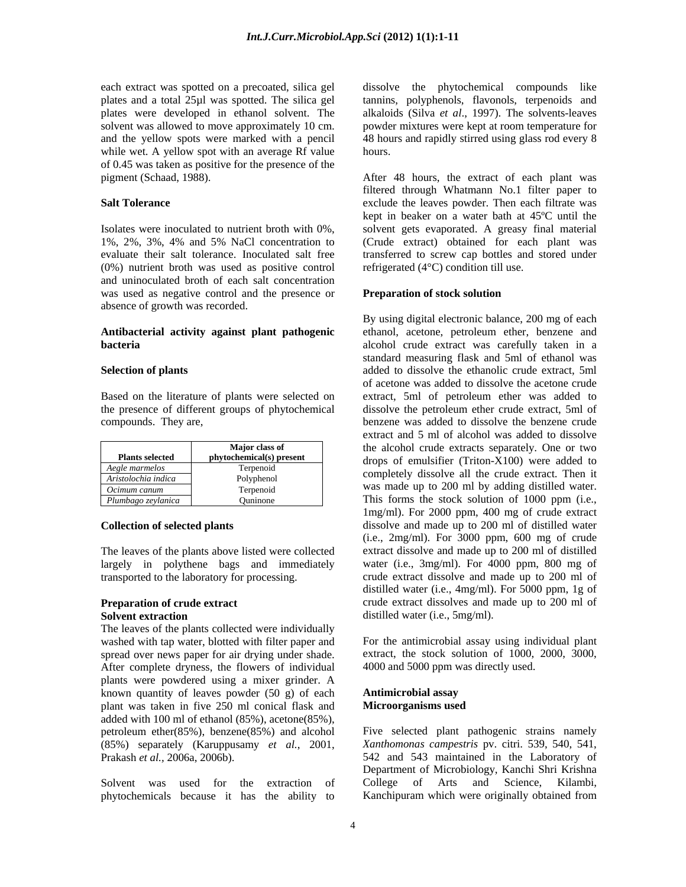while wet. A yellow spot with an average Rf value hours. of 0.45 was taken as positive for the presence of the pigment (Schaad, 1988). After 48 hours, the extract of each plant was

(0%) nutrient broth was used as positive control and uninoculated broth of each salt concentration was used as negative control and the presence or **Preparation of stock solution** absence of growth was recorded.

# **Antibacterial activity against plant pathogenic**

| <b>Plants selected</b> | Major class of<br>phytochemical(s) present |
|------------------------|--------------------------------------------|
| Aegle marmelos         | Terpenoid                                  |
| Aristolochia indica    | Polyphenol                                 |
| Ocimum canum           | Terpenoid                                  |
| Plumbago zeylanica     | Ouninone                                   |

The leaves of the plants above listed were collected largely in polythene bags and immediately transported to the laboratory for processing.

The leaves of the plants collected were individually washed with tap water, blotted with filter paper and spread over news paper for air drying under shade. After complete dryness, the flowers of individual plants were powdered using a mixer grinder. A known quantity of leaves powder (50 g) of each **Antimicrobial assay**<br>plant was taken in five 250 ml conical flask and **Microorganisms used** plant was taken in five 250 ml conical flask and added with 100 ml of ethanol (85%), acetone(85%), petroleum ether(85%), benzene(85%) and alcohol

phytochemicals because it has the ability to Kanchipuram which were originally obtained from

each extract was spotted on a precoated, silica gel dissolve the phytochemical compounds like plates and a total 25µl was spotted. The silica gel tannins, polyphenols, flavonols, terpenoids and plates were developed in ethanol solvent. The alkaloids (Silva *et al*., 1997). The solvents-leaves solvent was allowed to move approximately 10 cm. powder mixtures were kept at room temperature for and the yellow spots were marked with a pencil 48 hours and rapidly stirred using glass rod every 8 hours.

**Salt Tolerance Exclude the leaves powder. Then each filtrate was Salt Tolerance** *exclude the leaves powder. Then each filtrate was* Isolates were inoculated to nutrient broth with 0%, solvent gets evaporated. A greasy final material 1%, 2%, 3%, 4% and 5% NaCl concentration to evaluate their salt tolerance. Inoculated salt free transferred to screw cap bottles and stored under filtered through Whatmann No.1 filter paper to kept in beaker on a water bath at 45ºC until the (Crude extract) obtained for each plant was refrigerated (4°C) condition till use.

### **Preparation of stock solution**

**bacteria bacteria alcohol** crude extract was carefully taken in a **Selection of plants added** to dissolve the ethanolic crude extract, 5ml Based on the literature of plants were selected on extract, 5ml of petroleum ether was added to the presence of different groups of phytochemical dissolve the petroleum ether crude extract, 5ml of the presence of different groups of phytochemical dissolve the petroleum ether crude extract, 5ml of compounds. They are, benzene was added to dissolve the benzene crude **Plants selected phytochemical(s) present** drops of emulsifier (Triton-X100) were added to **Major class of**  the alcohol crude extracts separately. One or two *Aegle marmelos*<br> *Aristologhia indica*<br> **Aristologhia indica**<br> **Completely** dissolve all the crude extract. Then it *Aristolochia indica* Polyphenol *Ocimum canum* Terpenoid Terpenoid Was made up to 200 ml by adding district water. *Plumbago zeylanica* Quninone **This forms the stock solution of 1000 ppm** (i.e., **Collection of selected plants dissolve and made up to 200 ml of distilled water Preparation of crude extract** crude extract dissolves and made up to 200 ml of **Solvent extraction Solvent extraction Solvent extraction Solvent extraction Solvent extraction** By using digital electronic balance, 200 mg of each ethanol, acetone, petroleum ether, benzene and standard measuring flask and 5ml of ethanol was of acetone was added to dissolve the acetone crude extract, 5ml of petroleum ether was added to extract and 5 ml of alcohol was added to dissolve was made up to 200 ml by adding distilled water. 1mg/ml). For 2000 ppm, 400 mg of crude extract (i.e., 2mg/ml). For 3000 ppm, 600 mg of crude extract dissolve and made up to 200 ml of distilled water (i.e., 3mg/ml). For 4000 ppm, 800 mg of crude extract dissolve and made up to 200 ml of distilled water (i.e., 4mg/ml). For 5000 ppm, 1g of distilled water (i.e., 5mg/ml).

> For the antimicrobial assay using individual plant extract, the stock solution of 1000, 2000, 3000, 4000 and 5000 ppm was directly used.

### **Antimicrobial assay Microorganisms used**

(85%) separately (Karuppusamy *et al.*, 2001, *Xanthomonas campestris* pv. citri. 539, 540, 541, Prakash *et al.*, 2006a, 2006b). 542 and 543 maintained in the Laboratory of Solvent was used for the extraction of College of Arts and Science, Kilambi, Five selected plant pathogenic strains namely Department of Microbiology, Kanchi Shri Krishna College of Arts and Science, Kilambi,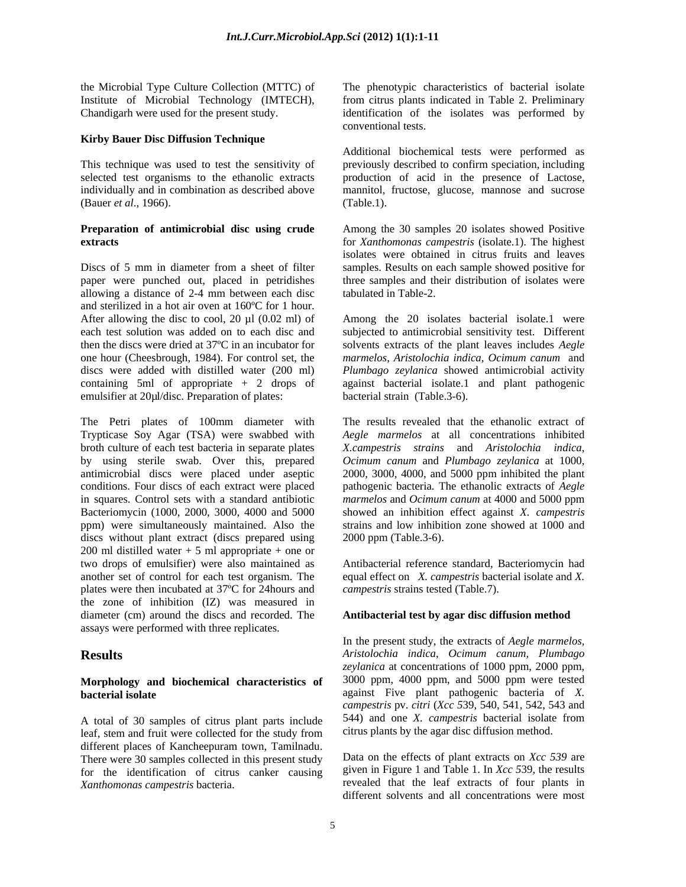### **Kirby Bauer Disc Diffusion Technique**

(Bauer *et al*., 1966).

allowing a distance of 2-4 mm between each disc and sterilized in a hot air oven at 160ºC for 1 hour. emulsifier at 20µl/disc. Preparation of plates:

Trypticase Soy Agar (TSA) were swabbed with broth culture of each test bacteria in separate plates by using sterile swab. Over this, prepared antimicrobial discs were placed under aseptic Bacteriomycin (1000, 2000, 3000, 4000 and 5000 ppm) were simultaneously maintained. Also the discs without plant extract (discs prepared using  $200$  ml distilled water  $+ 5$  ml appropriate  $+$  one or two drops of emulsifier) were also maintained as plates were then incubated at 37ºC for 24hours and the zone of inhibition (IZ) was measured in diameter (cm) around the discs and recorded. The **Antibacterial test by agar disc diffusion method** assays were performed with three replicates.

# **Morphology and biochemical characteristics of**

leaf, stem and fruit were collected for the study from different places of Kancheepuram town, Tamilnadu. There were 30 samples collected in this present study for the identification of citrus canker causing

the Microbial Type Culture Collection (MTTC) of The phenotypic characteristics of bacterial isolate Institute of Microbial Technology (IMTECH), from citrus plants indicated in Table 2. Preliminary Chandigarh were used for the present study. identification of the isolates was performed by conventional tests.

This technique was used to test the sensitivity of previously described to confirm speciation, including selected test organisms to the ethanolic extracts production of acid in the presence of Lactose, individually and in combination as described above mannitol, fructose, glucose, mannose and sucrose Additional biochemical tests were performed as (Table.1).

**Preparation of antimicrobial disc using crude** Among the30 samples 20 isolates showed Positive **extracts** for *Xanthomonas campestris* (isolate.1). The highest Discs of 5 mm in diameter from a sheet of filter samples. Results on each sample showed positive for paper were punched out, placed in petridishes three samples and their distribution of isolates were isolates were obtained in citrus fruits and leaves tabulated in Table-2.

After allowing the disc to cool, 20  $\mu$ l (0.02 ml) of Among the 20 isolates bacterial isolate.1 were each test solution was added on to each disc and subjected to antimicrobial sensitivity test. Different then the discs were dried at 37ºC in an incubator for solvents extracts of the plant leaves includes *Aegle*  one hour (Cheesbrough, 1984). For control set, the *marmelos*, *Aristolochia indica*, *Ocimum canum* and discs were added with distilled water (200 ml) *Plumbago zeylanica* showed antimicrobial activity containing 5ml of appropriate + 2 drops of against bacterial isolate.1 and plant pathogenic bacterial strain (Table.3-6).

The Petri plates of 100mm diameter with The results revealed that the ethanolic extract of conditions. Four discs of each extract were placed pathogenic bacteria. The ethanolic extracts of *Aegle*  in squares. Control sets with a standard antibiotic *marmelos* and *Ocimum canum* at 4000 and 5000 ppm ppm) were simultaneously maintained. Also the strains and low inhibition zone showed at 1000 and *Aegle marmelos* at all concentrations inhibited *X.campestris strains* and *Aristolochia indica, Ocimum canum* and *Plumbago zeylanica* at 1000, 2000, 3000, 4000, and 5000 ppm inhibited the plant showed an inhibition effect against *X. campestris* 2000 ppm (Table.3-6).

two drops of emulsifier) were also maintained as Antibacterial reference standard, Bacteriomycin had another set of control for each test organism. The equal effect on *X. campestris* bacterial isolate and *X*. *campestris* strains tested (Table.7).

**Results** *Aristolochia indica*, *Ocimum canum, Plumbago* **bacterial isolate** against Five plant pathogenic bacteria of *X.*  A total of 30 samples of citrus plant parts include 544) and one X. *campestris* bacterial isolate from In the present study, the extracts of *Aegle marmelos, zeylanica* at concentrations of 1000 ppm, 2000 ppm, 3000 ppm, 4000 ppm, and 5000 ppm were tested *campestris* pv. *citri* (*Xcc 5*39, 540, 541, 542, 543 and 544) and one *X. campestris* bacterial isolate from citrus plants by the agar disc diffusion method.

*Xanthomonas campestris* bacteria. revealed that the leaf extracts of four plants in Data on the effects of plant extracts on *Xcc 539* are given in Figure 1 and Table 1. In *Xcc 5*39, the results different solvents and all concentrations were most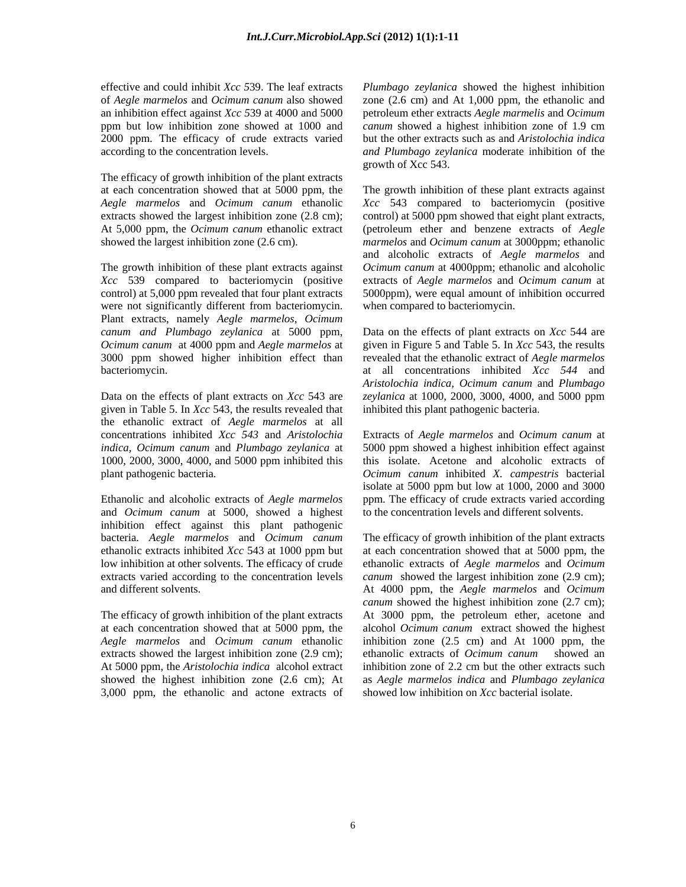an inhibition effect against *Xcc 5*39 at 4000 and 5000

The efficacy of growth inhibition of the plant extracts

control) at 5,000 ppm revealed that four plant extracts were not significantly different from bacteriomycin. Plant extracts, namely *Aegle marmelos*, *Ocimum*  3000 ppm showed higher inhibition effect than

given in Table 5. In *Xcc* 543, the results revealed that the ethanolic extract of *Aegle marmelos* at all

and *Ocimum canum* at 5000, showed a highest inhibition effect against this plant pathogenic

extracts showed the largest inhibition zone (2.9 cm); ethanolic extracts of *Ocimum canum* showed an 3,000 ppm, the ethanolic and actone extracts of

effective and could inhibit *Xcc 5*39. The leaf extracts *Plumbago zeylanica* showed the highest inhibition of *Aegle marmelos* and *Ocimum canum* also showed zone (2.6 cm) and At 1,000 ppm, the ethanolic and ppm but low inhibition zone showed at 1000 and *canum* showed a highest inhibition zone of 1.9 cm 2000 ppm. The efficacy of crude extracts varied but the other extracts such as and *Aristolochia indica* according to the concentration levels. *and Plumbago zeylanica* moderate inhibition of the petroleum ether extracts *Aegle marmelis* and *Ocimum*  growth of Xcc 543.

at each concentration showed that at 5000 ppm, the The growth inhibition of these plant extracts against *Aegle marmelos* and *Ocimum canum* ethanolic *Xcc* 543 compared to bacteriomycin (positive extracts showed the largest inhibition zone (2.8 cm); control) at 5000 ppm showed that eight plant extracts, At 5,000 ppm, the *Ocimum canum* ethanolic extract (petroleum ether and benzene extracts of *Aegle*  showed the largest inhibition zone (2.6 cm). *marmelos* and *Ocimum canum* at 3000ppm; ethanolic The growth inhibition of these plant extracts against *Ocimum canum* at 4000ppm; ethanolic and alcoholic *Xcc* 539 compared to bacteriomycin (positive extractsof *Aegle marmelos* and *Ocimum canum* at and alcoholic extracts of *Aegle marmelos* and 5000ppm), were equal amount of inhibition occurred when compared to bacteriomycin.

*canum and Plumbago zeylanica* at 5000 ppm, Data on the effects of plant extracts on *Xcc* 544 are *Ocimum canum* at 4000 ppm and *Aegle marmelos* at given in Figure 5 and Table 5. In *Xcc* 543, the results bacteriomycin. at all concentrations inhibited *Xcc 544* and Data on the effects of plant extracts on *Xcc* 543 are *zeylanica* at 1000, 2000, 3000, 4000, and 5000 ppm revealed that the ethanolic extract of *Aegle marmelos Aristolochia indica, Ocimum canum* and *Plumbago* inhibited this plant pathogenic bacteria.

concentrations inhibited *Xcc 543* and *Aristolochia*  Extracts of *Aegle marmelos* and *Ocimum canum* at *indica, Ocimum canum* and *Plumbago zeylanica* at 5000 ppm showed a highest inhibition effect against 1000, 2000, 3000, 4000, and 5000 ppm inhibited this this isolate. Acetone and alcoholic extracts of plant pathogenic bacteria. *Ocimum canum* inhibited *X. campestris* bacterial Ethanolic and alcoholic extracts of *Aegle marmelos* ppm. The efficacy of crude extracts varied according isolate at 5000 ppm but low at 1000, 2000 and 3000 to the concentration levels and different solvents.

bacteria. *Aegle marmelos* and *Ocimum canum* The efficacy of growth inhibition of the plant extracts ethanolic extracts inhibited *Xcc* 543 at 1000 ppm but at each concentration showed that at 5000 ppm, the low inhibition at other solvents. The efficacy of crude ethanolic extracts of *Aegle marmelos* and *Ocimum*  extracts varied according to the concentration levels canum showed the largest inhibition zone (2.9 cm); and different solvents. At 4000 ppm, the *Aegle marmelos* and *Ocimum*  The efficacy of growth inhibition of the plant extracts At 3000 ppm, the petroleum ether, acetone and at each concentration showed that at 5000 ppm, the alcohol *Ocimum canum* extract showed the highest *Aegle marmelos* and *Ocimum canum* ethanolic inhibition zone (2.5 cm) and At 1000 ppm, the At 5000 ppm, the *Aristolochia indica* alcohol extract inhibition zone of 2.2 cm but the other extracts such showed the highest inhibition zone (2.6 cm); At as *Aegle marmelos indica* and *Plumbago zeylanica canum* showed the highest inhibition zone (2.7 cm); ethanolic extracts of *Ocimum canum* showed an showed low inhibition on *Xcc* bacterial isolate.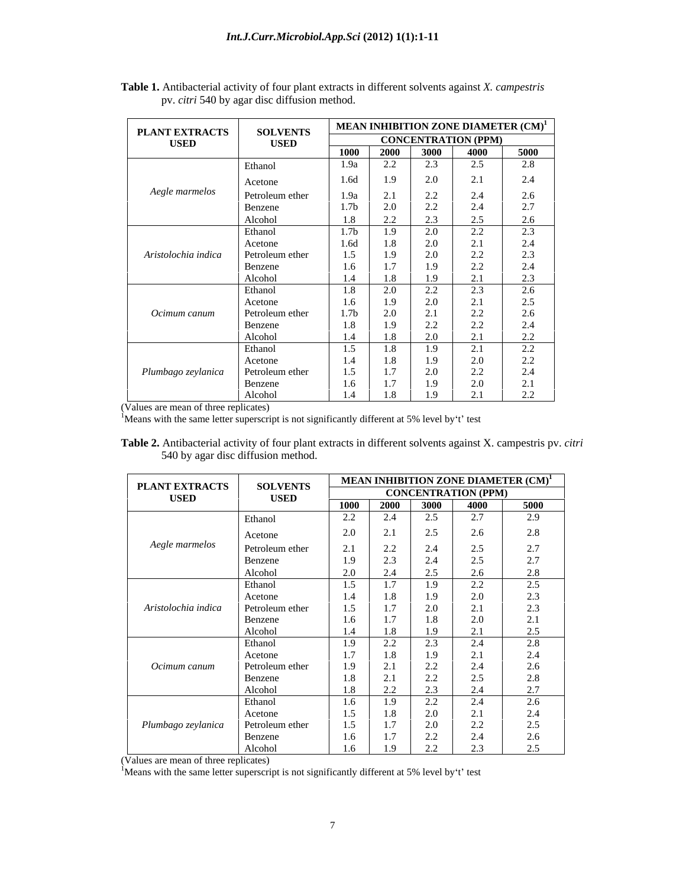| PLANT EXTRACTS      | <b>SOLVENTS</b> |                  |                     |                                         |                                     | <b>MEAN INHIBITION ZONE DIAMETER <math>(CM)^1</math></b> |
|---------------------|-----------------|------------------|---------------------|-----------------------------------------|-------------------------------------|----------------------------------------------------------|
| <b>USED</b>         | <b>USED</b>     |                  |                     |                                         | <b>CONCENTRATION (PPM)</b>          |                                                          |
|                     |                 | 1000             | $\overline{2000}$   | 3000                                    | 4000                                | 5000                                                     |
|                     | Ethanol         | 1.9a             | 2.2                 | 2.3                                     | 2.5                                 | 2.8                                                      |
|                     | Acetone         | 1.6d             | 1.9                 | 2.0                                     | 2.1                                 | 2.4                                                      |
| Aegle marmelos      | Petroleum ether | 1.9a             | 2.1                 | 2.2                                     | 2.4                                 | 2.6                                                      |
|                     |                 | 1.7 <sub>b</sub> | 2.0                 | 22                                      | 2.4                                 | 2.7                                                      |
|                     | Benzene         |                  | $\Omega$            | $\mathcal{L}$ . $\mathcal{L}$<br>$\sim$ | $\cap$ $\subset$                    |                                                          |
|                     | Alcohol         | 1.8              | $\angle$ . $\angle$ |                                         |                                     | 2.6                                                      |
|                     | Ethanol         | 1.7 <sub>b</sub> | 1.9                 | 2.0                                     | 22<br>$\angle$ . $\angle$           | 2.3                                                      |
|                     | Acetone         | 1.6d             | 1.8                 | 2.0                                     | 2.1                                 | 2.4                                                      |
| Aristolochia indica | Petroleum ether | 1.5              | 1.9                 | 2.0                                     | 22<br>$\angle$ . $\angle$           | 2.3                                                      |
|                     | Benzene         | 1.6              | $1.7\,$             | 1.9                                     | 22<br>4.4                           | 2.4                                                      |
|                     | Alcohol         | 1.4              | 1.8                 | 1.9                                     | $\bigcap$ 1<br>$\sim$               | 2.3                                                      |
|                     | Ethanol         | 1.8              | 2.0                 | 2.2                                     | 2.3                                 | 2.6                                                      |
|                     | Acetone         | 1.6              | 1.9                 | 2.0                                     | 2.1                                 |                                                          |
| Ocimum canum        | Petroleum ether | 1.7 <sub>b</sub> | 2.0                 | 2.1                                     | 2.2                                 | $\frac{2.5}{2.6}$                                        |
|                     | Benzene         | 1.8              | 1.9                 | 2.2                                     | 22<br>$\mathcal{L}$ . $\mathcal{L}$ | 2.4                                                      |
|                     | Alcohol         | 1.4              | 1.8                 | 2.0                                     | $\bigcap$ 1                         | 22<br>$\mathcal{L}$ . $\mathcal{L}$                      |
|                     | Ethanol         | 1.5              | 1.8                 | 1.9                                     | 2.1                                 | 2.2                                                      |
|                     | Acetone         | 1.4              | 1.8                 | 1.9                                     | 2.0                                 | 2.2                                                      |
| Plumbago zeylanica  | Petroleum ether | 1.5              | 1.7                 |                                         | 22                                  | 2.4                                                      |
|                     |                 | 1.6              | $1.7\,$             | 2.0<br>1.9                              | $\angle$ . $\angle$<br>2.0          | 2.1                                                      |
|                     | Benzene         |                  |                     |                                         | $\gamma$ 1                          |                                                          |
|                     | Alcohol         | 1.4              | 1.8                 | 1.9                                     | $\sim$                              | 2.2                                                      |

**Table 1.** Antibacterial activity of four plant extracts in different solvents against *X. campestris*  pv. *citri* 540 by agar disc diffusion method.

(Values are mean of three replicates)<br><sup>1</sup>Means with the same letter superscript is not significantly different at 5% level by t test

**Table 2.** Antibacterial activity of four plant extracts in different solvents against X. campestris pv. *citri* 540 by agar disc diffusion method.

| <b>PLANT EXTRACTS</b> | <b>SOLVENTS</b> |      |                                           |                                     | MEAN INHIBITION ZONE DIAMETER $(\text{CM})^1$ |                           |
|-----------------------|-----------------|------|-------------------------------------------|-------------------------------------|-----------------------------------------------|---------------------------|
| <b>USED</b>           | <b>USED</b>     |      |                                           |                                     | <b>CONCENTRATION (PPM)</b>                    |                           |
|                       |                 | 1000 | 2000 3000                                 |                                     | 4000                                          | 5000                      |
|                       | Ethanol         | 2.2  | 2.4                                       | 2.5                                 | 2.7                                           | 2.9                       |
|                       | Acetone         | 2.0  | 2.1                                       | 2.5                                 | 2.6                                           | 2.8                       |
| Aegle marmelos        | Petroleum ether | 2.1  | 2.2                                       | 2.4                                 | $2.5\,$                                       | 2.7                       |
|                       | Benzene         | 1.9  | 2.3                                       | $2\Delta$<br>2.4                    | 2.5                                           | 2.7                       |
|                       | Alcohol         | 2.0  | 2.4                                       | 2.5                                 | 2.6                                           | $\gamma$ o                |
|                       | Ethanol         | 1.5  | 1.7                                       | 1.9                                 | 2.2                                           | 2.5                       |
|                       | Acetone         | 1.4  | 1.8                                       | 1.9                                 | 2.0                                           | 2.3                       |
| Aristolochia indica   | Petroleum ether | 1.5  | 1.7                                       | 2.0                                 | 2.1                                           | 2.3                       |
|                       | Benzene         | 1.6  | 1.7                                       | 1.8                                 | $2.0\,$                                       | $\bigcap$ 1<br>$\Delta$ . |
|                       | Alcohol         | 1.4  | 1.8                                       | 1.9                                 | 2.1                                           | 2.5                       |
|                       | Ethanol         | 1.9  | 2.2                                       | 2.3                                 | 2.4                                           | 2.8                       |
|                       | Acetone         | 1.7  | 1.8                                       | 1.9                                 | 2.1                                           | 2.4                       |
| Ocimum canum          | Petroleum ether | 1.9  | 2.1                                       | 2.2                                 | 2.4                                           | 2.6                       |
|                       | Benzene         | 1.8  | 21<br>$\mathcal{L}$ .1                    | 22<br>$\mathcal{L}$ . $\mathcal{L}$ | $2.5\,$                                       | 2.8                       |
|                       | Alcohol         | 1.8  | $\Omega$<br>$\mathcal{L}$ . $\mathcal{L}$ |                                     | 2.4                                           | $\gamma$ $\tau$           |
|                       | Ethanol         | 1.6  | 1.9                                       | 22<br>$\mathcal{L}$ . $\mathcal{L}$ | 2.4                                           | 2.6                       |
|                       | Acetone         | 1.5  | 1.8                                       | 2.0                                 | 2.1                                           | 2.4                       |
| Plumbago zeylanica    | Petroleum ether | 1.5  | 1.7                                       | 2.0                                 | 2.2                                           | 2.5                       |
|                       | Benzene         | 1.6  | 1.7                                       | $\Omega$<br>4.4                     | 2.4                                           | 2.6                       |
|                       | Alcohol         | 1.6  | 1.9                                       | 2.2                                 | 2 <sub>2</sub>                                | 25                        |

(Values are mean of three replicates)  ${}^{1}$ Means with the same letter superscript is not significantly different at 5% level by t test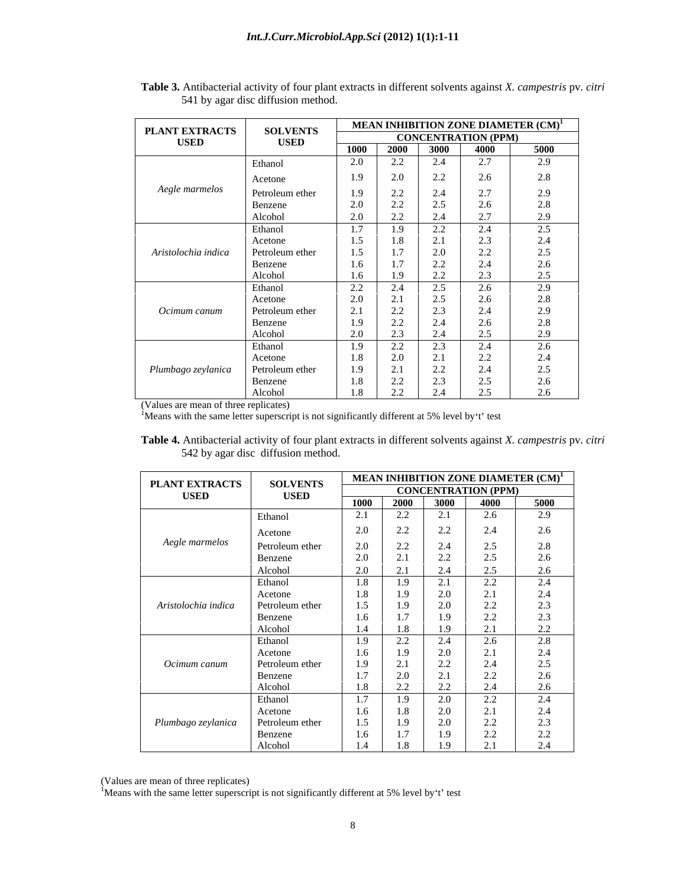| <b>PLANT EXTRACTS</b> | <b>SOLVENTS</b> |                       |                  |                                     |                            | MEAN INHIBITION ZONE DIAMETER $\mathrm{CM}^{1}$ |
|-----------------------|-----------------|-----------------------|------------------|-------------------------------------|----------------------------|-------------------------------------------------|
| <b>USED</b>           | <b>USED</b>     |                       |                  |                                     | <b>CONCENTRATION (PPM)</b> |                                                 |
|                       |                 | 1000                  | 2000             | 3000                                | 4000                       | 5000                                            |
|                       | Ethanol         | 2.0                   | $2.2\,$          | 2.4                                 | 2.7                        | 2.9                                             |
|                       | Acetone         | 1.9                   | 2.0              | 2.2                                 | 2.6                        | 2.8                                             |
| Aegle marmelos        | Petroleum ether | 1.9                   | $2.2\,$          | 2.4                                 | 2.7                        | 2.9                                             |
|                       | Benzene         | $2.0\,$               | $2.2\,$          | 2.5                                 | 2.6                        | 2.8                                             |
|                       | Alcohol         | 2.0                   | 2.2              | 2.4                                 | 2.7                        | 2.9                                             |
|                       | Ethanol         | 1.7                   | 1.9              | 2.2                                 | 2.4                        | 2.5                                             |
|                       | Acetone         | 1.5                   | 1.8              | 2.1                                 |                            | 2.4                                             |
| Aristolochia indica   | Petroleum ether | 1.5                   | 1.7              | 2.0                                 | $\frac{2.3}{2.2}$          | 2.5                                             |
|                       | Benzene         | 1.6                   | 17               | 22<br>$\mathcal{L}$ , $\mathcal{L}$ | 2.4                        | $2.6\phantom{0}$                                |
|                       | Alcohol         | 1.6                   | 1.9              | 2.2                                 | 2.3                        | 2.5                                             |
|                       | Ethanol         | 2.2                   | 2.4              | 2.5                                 | 2.6                        | 2.9                                             |
|                       | Acetone         | 2.0                   | 21<br>$\angle 1$ | 2.5                                 | 2.6                        | 2.8                                             |
| Ocimum canum          | Petroleum ether | 21<br>$\mathcal{L}$ . | 2.2              | 2.3                                 | 2.4                        | 2.9                                             |
|                       | Benzene         | 1.9                   | $2.2\,$          | 2.4                                 | 2.6                        | 2.8                                             |
|                       | Alcohol         | 2.0                   | 2.3              | 2.4                                 | 2.5                        | 20                                              |
|                       | Ethanol         | 1.9                   | 2.2              | 2.3                                 | 2.4                        | 2.6                                             |
|                       | Acetone         | 1.8                   | 2.0              | 2.1                                 | 2.2                        | 2.4                                             |
| Plumbago zeylanica    | Petroleum ether | 1.9                   | 2.1              | 22<br>$\angle$ . $\angle$           | 2.4                        | 2.5                                             |
|                       | Benzene         | 1.8                   | 2.2              | 2.3                                 | 2.5                        | 2.6                                             |
|                       | Alcohol         | 1.8                   | $2.2\,$          | 2.4                                 | 2.5                        | 2.6                                             |

**Table 3.** Antibacterial activity of four plant extracts in different solvents against *X. campestris* pv*. citri*  541 by agar disc diffusion method.

(Values are mean of three replicates)<br><sup>1</sup>Means with the same letter superscript is not significantly different at 5% level by't' test

**Table 4.** Antibacterial activity of four plant extracts in different solvents against *X. campestris* pv*. citri* 542 by agar disc diffusion method.

| <b>PLANT EXTRACTS</b> | <b>SOLVENTS</b>            |            |                                      |                      |                                     | MEAN INHIBITION ZONE DIAMETER $(\text{CM})^{1}$ |
|-----------------------|----------------------------|------------|--------------------------------------|----------------------|-------------------------------------|-------------------------------------------------|
| <b>USED</b>           | <b>USED</b>                |            |                                      |                      | <b>CONCENTRATION (PPM)</b>          |                                                 |
|                       |                            | 1000       | 2000                                 | 3000                 | 4000                                | 5000                                            |
|                       | Ethanol                    | 2.1        | $\gamma$<br>4.4                      | $\bigcap$ 1<br>. Z.J | 2.6                                 | 2.9                                             |
|                       | Acetone                    | 2.0        | 22<br>$\angle$ . $\angle$            | 2.2                  | 2.4                                 | 2.6                                             |
| Aegle marmelos        | Petroleum ether            | 2.0        | 22                                   | 2.4                  | 2.5                                 | 2.8                                             |
|                       |                            | 2.0        | $\mathcal{L}$ . $\mathcal{L}$<br>2.1 | 2.2                  | 2.5                                 | 2.6                                             |
|                       | Benzene<br>Alcohol         | 2.0        | 2.1                                  |                      | 2.5                                 |                                                 |
|                       |                            |            |                                      | 2.4<br>$\bigcap$ 1   |                                     | 2.6                                             |
|                       | Ethanol                    | 1.8<br>1.8 | 1.9                                  | . Z. I               | 2.2                                 | 2.4                                             |
| Aristolochia indica   | Acetone                    |            | 1.9                                  | $2.0\,$<br>$2.0\,$   | 2.1<br>2.2                          | 2.4<br>2.3                                      |
|                       | Petroleum ether            | 1.5        | 1.9<br>1.7                           |                      |                                     |                                                 |
|                       | Benzene                    | 1.6        | 1.8                                  | 1.9                  | 2.2                                 | 2.3<br>2.2                                      |
|                       | Alcohol                    | 1.4        | 22                                   |                      | 2.1                                 |                                                 |
|                       | Ethanol                    | 1.9        | $\mathcal{L}$ . $\mathcal{L}$        | 2.4                  | 2.6                                 | 2.8                                             |
| Ocimum canum          | Acetone<br>Petroleum ether | 1.6<br>1.9 | 1.9<br>2.1                           | $2.0\,$<br>2.2       | 2.1<br>2.4                          | 2.4<br>2.5                                      |
|                       |                            | 1.7        |                                      |                      |                                     |                                                 |
|                       | Benzene                    |            | 2.0<br>2.2                           | 2.2                  | 2.2<br>2.4                          | 2.6<br>2.6                                      |
|                       | Alcohol<br>Ethanol         | 1.8<br>1.7 |                                      |                      | 22                                  |                                                 |
|                       |                            | 1.6        | 1.9                                  | 2.0                  | $\angle$ . $\angle$                 | 2.4<br>2.4                                      |
|                       | Acetone                    |            | 1.8                                  | $2.0\,$              | 2.1                                 |                                                 |
| Plumbago zeylanica    | Petroleum ether            | 1.5        | 1.9<br>1.7                           | 2.0<br>1.9           | 2.2<br>22                           | 2.3<br>22                                       |
|                       | Benzene                    | 1.6        | 1.7                                  |                      | $\mathcal{L}$ . $\mathcal{L}$<br>21 | $\angle$ . $\angle$                             |
|                       | Alcohol                    | 1.4        | 1.8                                  |                      | $\sim$ 1                            | 2.4                                             |

(Values are mean of three replicates)<br><sup>1</sup>Means with the same letter superscript is not significantly different at 5% level by t' test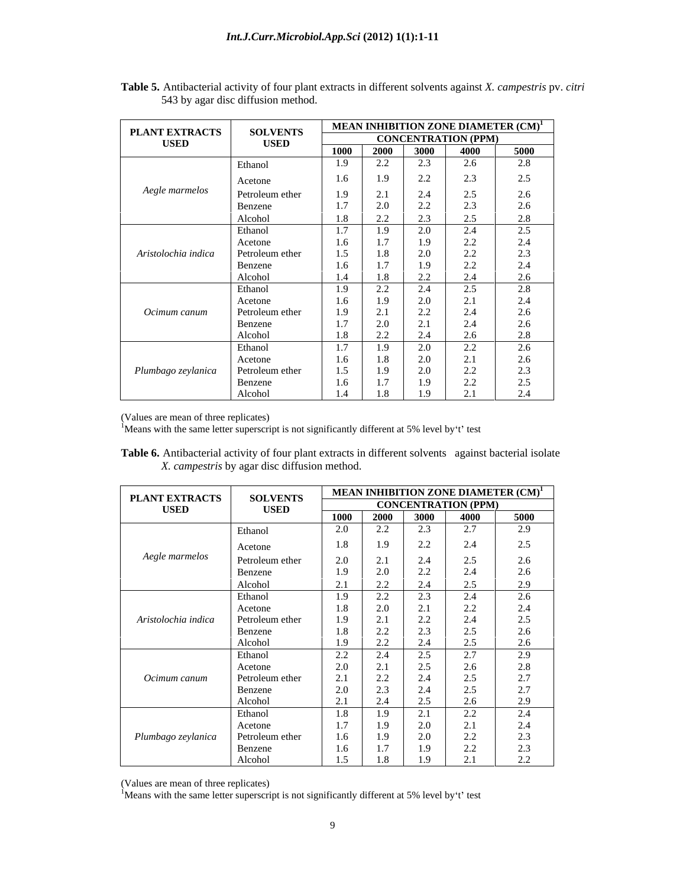| PLANT EXTRACTS      | <b>SOLVENTS</b> |      |      |                               |                                           | <b>MEAN INHIBITION ZONE DIAMETER <math>(CM)^1</math></b> |
|---------------------|-----------------|------|------|-------------------------------|-------------------------------------------|----------------------------------------------------------|
| <b>USED</b>         | <b>USED</b>     |      |      |                               | <b>CONCENTRATION (PPM)</b>                |                                                          |
|                     |                 | 1000 | 2000 | 3000                          | 4000                                      | 5000                                                     |
|                     | Ethanol         | 1.9  | 2.2  | 2.3                           | 2.6                                       | 2.8                                                      |
|                     | Acetone         | 1.6  | 1.9  | 2.2                           | 2.3                                       | 2.5                                                      |
| Aegle marmelos      |                 | 1.9  | 2.1  | 2.4                           | 2.5                                       | 2.6                                                      |
|                     | Petroleum ether | 1.7  | 2.0  | 22                            | 2.3                                       | 2.6                                                      |
|                     | Benzene         |      |      | $\mathcal{L}$ . $\mathcal{L}$ |                                           |                                                          |
|                     | Alcohol         | 1.8  | 2.2  | 2.3                           | 2.5                                       | 2.8                                                      |
|                     | Ethanol         | 1.7  | 1.9  | 2.0                           | 2.4                                       | 2.5                                                      |
|                     | Acetone         | 1.6  | 1.7  | 1.9                           | $\begin{array}{c} 2.2 \\ 2.2 \end{array}$ | 2.4                                                      |
| Aristolochia indica | Petroleum ether | 1.5  | 1.8  | 2.0                           |                                           | 2.3                                                      |
|                     | Benzene         | 1.6  | 17   | 1.9                           | 2.2                                       | 2.4                                                      |
|                     | Alcohol         | 1.4  | 1.8  | 2.2                           | 2.4                                       | 2.6                                                      |
|                     | Ethanol         | 1.9  | 2.2  | 2.4                           | 2.5                                       | 2.8                                                      |
|                     | Acetone         | 1.6  | 1.9  | 2.0                           | 2.1                                       | 2.4                                                      |
| Ocimum canum        | Petroleum ether | 1.9  | 2.1  | 2.2                           | 2.4                                       | 2.6                                                      |
|                     | Benzene         | 1.7  | 2.0  | 2.1                           | 2.4                                       | 2.6                                                      |
|                     | Alcohol         | 1.8  | 2.2  | 2.4                           | 2.6                                       | 2.8                                                      |
|                     | Ethanol         | 1.7  | 1.9  | 2.0                           | 2.2                                       | $2.6\,$                                                  |
|                     | Acetone         | 1.6  | 1.8  | 2.0                           | 2.1                                       | 2.6                                                      |
| Plumbago zeylanica  | Petroleum ether | 1.5  | 1.9  | 2.0                           | 2.2                                       | 2.3                                                      |
|                     | Benzene         | 1.6  | 1.7  | 1.9                           | 2.2                                       | 2.5                                                      |
|                     | Alcohol         | 1.4  | 1.8  | 1.9                           | 2.1                                       | 2.4                                                      |

**Table 5.** Antibacterial activity of four plant extracts in different solvents against *X. campestris* pv. *citri* 543 by agar disc diffusion method.

(Values are mean of three replicates)<br><sup>1</sup>Means with the same letter superscript is not significantly different at 5% level by t' test

**Table 6.** Antibacterial activity of four plant extracts in different solvents against bacterial isolate *X. campestris* by agar disc diffusion method.

| PLANT EXTRACTS<br><b>USED</b><br>Aegle marmelos<br>Aristolochia indica<br>Ocimum canum<br>Plumbago zeylanica | <b>SOLVENTS</b>    |                   |                                           |         |                            | <b>MEAN INHIBITION ZONE DIAMETER <math>(CM)^1</math></b> |
|--------------------------------------------------------------------------------------------------------------|--------------------|-------------------|-------------------------------------------|---------|----------------------------|----------------------------------------------------------|
|                                                                                                              | <b>USED</b>        |                   |                                           |         | <b>CONCENTRATION (PPM)</b> |                                                          |
|                                                                                                              |                    | 1000              | 2000                                      | 3000    | 4000                       | 5000                                                     |
|                                                                                                              | Ethanol            | 2.0               | $\Omega$<br>$\mathcal{L}$ , $\mathcal{L}$ | 2.3     | 2.7                        | 2.9                                                      |
|                                                                                                              | Acetone            | 1.8               | 1.9                                       | $2.2\,$ | 2.4                        | 2.5                                                      |
|                                                                                                              | Petroleum ether    | 2.0               | 2.1                                       | 2.4     | 2.5                        | 2.6                                                      |
|                                                                                                              | Benzene            | 1.9               | 2.0                                       | 2.2     | 2.4                        | 2.6                                                      |
|                                                                                                              | Alcohol            | $\bigcap$ 1       | 2.2                                       | 2.4     | 2.5                        | 2.9                                                      |
|                                                                                                              | Ethanol            | $\angle 1$<br>1.9 | 2.2                                       | 2.3     | 2.4                        | 2.6                                                      |
|                                                                                                              | Acetone            | 1.8               | 2.0                                       | 2.1     | $2.2\,$                    | 2.4                                                      |
|                                                                                                              | Petroleum ether    | 1.9               | 21                                        | 2.2     |                            |                                                          |
|                                                                                                              | Benzene            | 1.8               | $\mathcal{L}$ .<br>22                     | 2.3     | $2.4$<br>$2.5$             | $\frac{2.5}{2.6}$                                        |
|                                                                                                              | Alcohol            | 1.9               | $\mathcal{L}$ . $\mathcal{L}$<br>22       | 2.4     | 2.5                        | 2.6                                                      |
|                                                                                                              | Ethanol            | 2.2               | $\sqrt{2}$<br>2.4                         | 2.5     | 2.7                        | 2.9                                                      |
|                                                                                                              | Acetone            | 2.0               | 21                                        | $2.5\,$ | $2.6\phantom{0}$           | 2.8                                                      |
|                                                                                                              | Petroleum ether    | 2.1               | $\sim$<br>22                              | 2.4     | 2.5                        | 2.7                                                      |
|                                                                                                              |                    | 2.0               | $\angle$ . $\angle$<br>$\bigcap$          | 2.4     | 2.5                        | 2.7                                                      |
|                                                                                                              | Benzene<br>Alcohol | 21                | ۵.۱<br>$2\pi$                             | 2.5     | 2.6                        | 2.9                                                      |
|                                                                                                              | Ethanol            | $\angle 1$<br>1.8 | $\angle .4$<br>1.9                        | 2.1     | 2.2                        | 2.4                                                      |
|                                                                                                              | Acetone            | 1.7               | 1.9                                       | 2.0     | 2.1                        | 2.4                                                      |
|                                                                                                              | Petroleum ether    | 1.6               | 1.9                                       | $2.0\,$ | 2.2                        | 2.3                                                      |
|                                                                                                              | Benzene            | 1.6               | 1 <sub>7</sub>                            | 1.9     | 2.2                        | 2.3                                                      |
|                                                                                                              | Alcohol            | 15                | $\mathbf{1} \cdot \mathbf{1}$<br>1.8      | 1.9     | 2.1                        | $\Omega$<br>$\mathcal{L}$ . $\mathcal{L}$                |

(Values are mean of three replicates)  ${}^{1}$ Means with the same letter superscript is not significantly different at 5% level by t test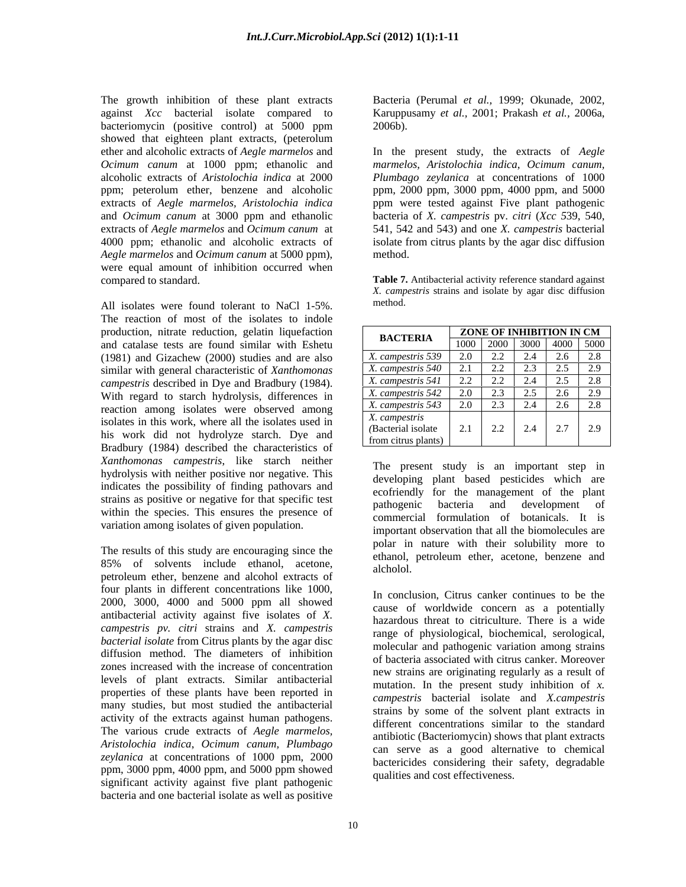The growth inhibition of these plant extracts Bacteria (Perumal *et al.,* 1999; Okunade, 2002, against *Xcc* bacterial isolate compared to bacteriomycin (positive control) at 5000 ppm bacteriomycin (positive control) at 5000 ppm showed that eighteen plant extracts, (peterolum *Ocimum canum* at 1000 ppm; ethanolic and alcoholic extracts of *Aristolochia indica* at 2000 *Aegle marmelos* and *Ocimum canum* at 5000 ppm), were equal amount of inhibition occurred when

All isolates were found tolerant to NaCl 1-5%. method. The reaction of most of the isolates to indole production, nitrate reduction, gelatin liquefaction and catalase tests are found similar with Eshetu (1981) and Gizachew (2000) studies and are also similar with general characteristic of *Xanthomonas campestris* described in Dye and Bradbury (1984). With regard to starch hydrolysis, differences in reaction among isolates were observed among isolates in this work, where all the isolates used in his work did not hydrolyze starch. Dye and Bradbury (1984) described the characteristics of *Xanthomonas campestris*, like starch neither hydrolysis with neither positive nor negative. This indicates the possibility of finding pathovars and strains as positive or negative for that specific test<br>pathogenic bacteria and development of within the species. This ensures the presence of variation among isolates of given population.

The results of this study are encouraging since the 85% of solvents include ethanol, acetone, alcholol, petroleum ether, benzene and alcohol extracts of four plants in different concentrations like 1000, 2000, 3000, 4000 and 5000 ppm all showed antibacterial activity against five isolates of *X. campestris pv. citri* strains and *X. campestris bacterial isolate* from Citrus plants by the agar disc diffusion method. The diameters of inhibition zones increased with the increase of concentration levels of plant extracts. Similar antibacterial properties of these plants have been reported in many studies, but most studied the antibacterial activity of the extracts against human pathogens. *zeylanica* at concentrations of 1000 ppm, 2000 ppm, 3000 ppm, 4000 ppm, and 5000 ppm showed significant activity against five plant pathogenic bacteria and one bacterial isolate as well as positive

Karuppusamy *et al.,* 2001; Prakash *et al.,* 2006a, 2006b).

ether and alcoholic extracts of *Aegle marmelos* and In the present study, the extracts of *Aegle*  ppm; peterolum ether, benzene and alcoholic ppm, 2000 ppm, 3000 ppm, 4000 ppm, and 5000 extracts of *Aegle marmelos, Aristolochia indica* ppm were tested against Five plant pathogenic and *Ocimum canum* at 3000 ppm and ethanolic bacteria of *X. campestris* pv. *citri* (*Xcc 5*39, 540, extracts of *Aegle marmelos* and *Ocimum canum* at 541, 542 and 543) and one *X. campestris* bacterial 4000 ppm; ethanolic and alcoholic extracts of isolate from citrus plants by the agar disc diffusion *marmelos, Aristolochia indica*, *Ocimum canum, Plumbago zeylanica* at concentrations of 1000 method. The contract of the contract of the contract of the contract of the contract of the contract of the contract of the contract of the contract of the contract of the contract of the contract of the contract of the co

compared to standard. **Table 7.** Antibacterial activity reference standard against *X. campestris* strains and isolate by agar disc diffusion method.

| <b>BACTERIA</b>      |                 | <b>ZONE OF INHIBITION IN CM</b>    |  |
|----------------------|-----------------|------------------------------------|--|
|                      |                 | $1000$   2000   3000   4000   5000 |  |
| X. campestris 2      |                 |                                    |  |
| X. campe             |                 |                                    |  |
| A. campes<br>ris 541 |                 |                                    |  |
|                      |                 |                                    |  |
|                      |                 |                                    |  |
| X. campestris        |                 |                                    |  |
| (Bacterial isolate   | $\sim$ . $\sim$ | 2.2 2.4 2.7 2.9                    |  |
| from citrus plants)  |                 |                                    |  |

The present study is an important step in developing plant based pesticides which are ecofriendly for the management of the plant pathogenic bacteria and development of commercial formulation of botanicals. It is important observation that all the biomolecules are polar in nature with their solubility more to ethanol, petroleum ether, acetone, benzene and alcholol. **Exercise 2008** 

The various crude extracts of *Aegle marmelos, Aristolochia indica*, *Ocimum canum, Plumbago* In conclusion, Citrus canker continues to be the cause of worldwide concern as a potentially hazardous threat to citriculture. There is a wide range of physiological, biochemical, serological, molecular and pathogenic variation among strains of bacteria associated with citrus canker. Moreover new strains are originating regularly as a result of mutation. In the present study inhibition of *x. campestris* bacterial isolate and *X.campestris* strains by some of the solvent plant extracts in different concentrations similar to the standard antibiotic (Bacteriomycin) shows that plant extracts can serve as a good alternative to chemical bactericides considering their safety, degradable qualities and cost effectiveness.